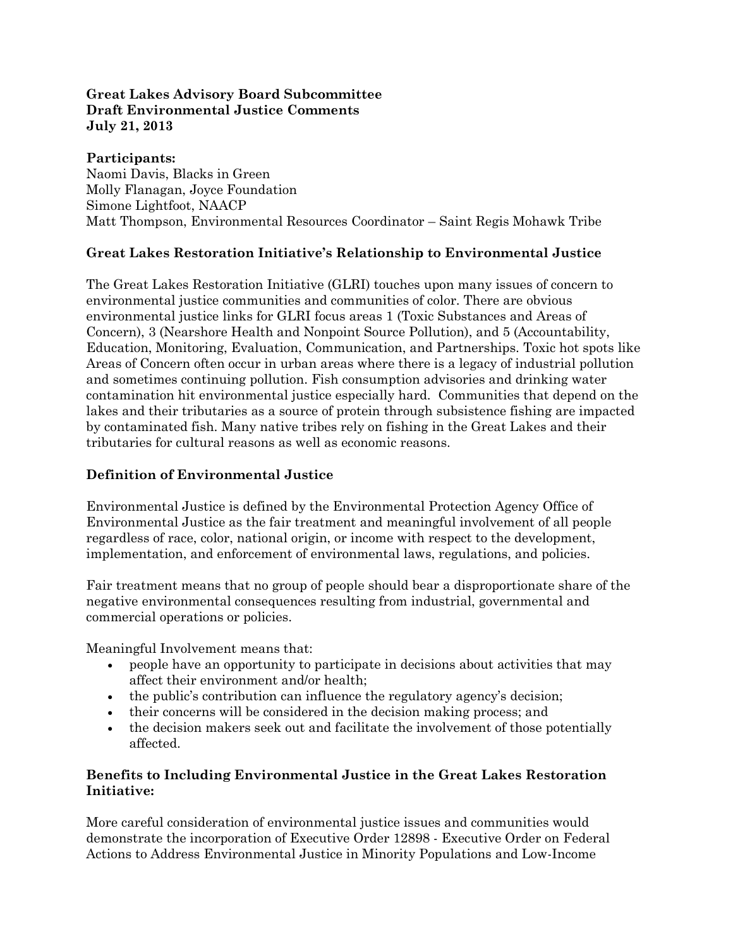#### **Great Lakes Advisory Board Subcommittee Draft Environmental Justice Comments July 21, 2013**

#### **Participants:**

Naomi Davis, Blacks in Green Molly Flanagan, Joyce Foundation Simone Lightfoot, NAACP Matt Thompson, Environmental Resources Coordinator – Saint Regis Mohawk Tribe

# **Great Lakes Restoration Initiative's Relationship to Environmental Justice**

The Great Lakes Restoration Initiative (GLRI) touches upon many issues of concern to environmental justice communities and communities of color. There are obvious environmental justice links for GLRI focus areas 1 (Toxic Substances and Areas of Concern), 3 (Nearshore Health and Nonpoint Source Pollution), and 5 (Accountability, Education, Monitoring, Evaluation, Communication, and Partnerships. Toxic hot spots like Areas of Concern often occur in urban areas where there is a legacy of industrial pollution and sometimes continuing pollution. Fish consumption advisories and drinking water contamination hit environmental justice especially hard. Communities that depend on the lakes and their tributaries as a source of protein through subsistence fishing are impacted by contaminated fish. Many native tribes rely on fishing in the Great Lakes and their tributaries for cultural reasons as well as economic reasons.

# **Definition of Environmental Justice**

Environmental Justice is defined by the Environmental Protection Agency Office of Environmental Justice as the fair treatment and meaningful involvement of all people regardless of race, color, national origin, or income with respect to the development, implementation, and enforcement of environmental laws, regulations, and policies.

Fair treatment means that no group of people should bear a disproportionate share of the negative environmental consequences resulting from industrial, governmental and commercial operations or policies.

Meaningful Involvement means that:

- people have an opportunity to participate in decisions about activities that may affect their environment and/or health;
- the public's contribution can influence the regulatory agency's decision;
- their concerns will be considered in the decision making process; and
- the decision makers seek out and facilitate the involvement of those potentially affected.

# **Benefits to Including Environmental Justice in the Great Lakes Restoration Initiative:**

More careful consideration of environmental justice issues and communities would demonstrate the incorporation of Executive Order 12898 - Executive Order on Federal Actions to Address Environmental Justice in Minority Populations and Low-Income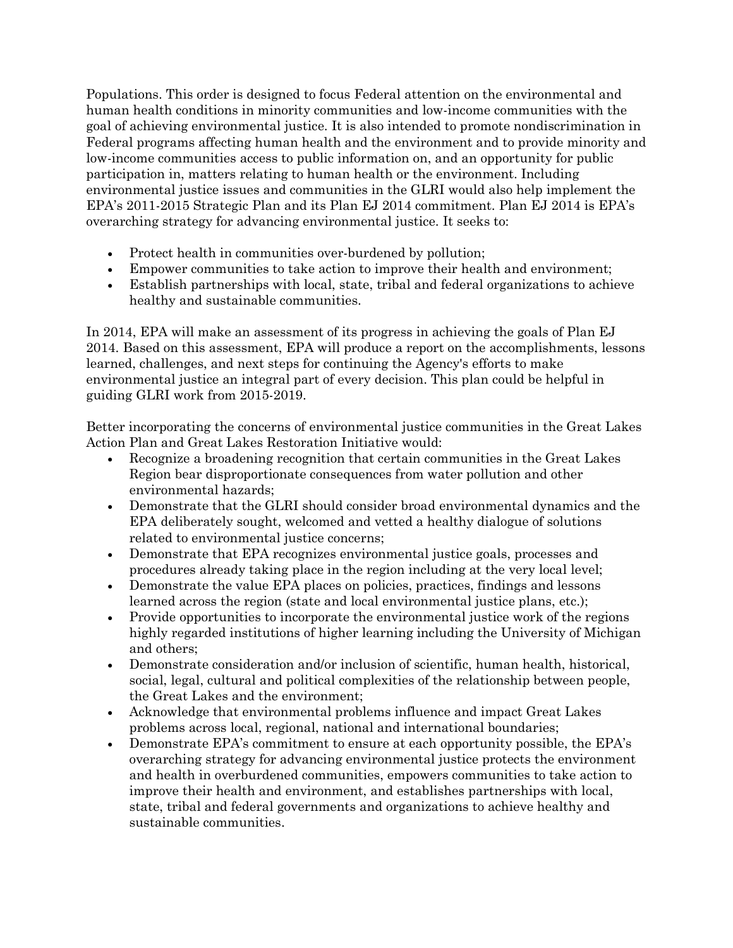Populations. This order is designed to focus Federal attention on the environmental and human health conditions in minority communities and low-income communities with the goal of achieving environmental justice. It is also intended to promote nondiscrimination in Federal programs affecting human health and the environment and to provide minority and low-income communities access to public information on, and an opportunity for public participation in, matters relating to human health or the environment. Including environmental justice issues and communities in the GLRI would also help implement the EPA's 2011-2015 Strategic Plan and its Plan EJ 2014 commitment. Plan EJ 2014 is EPA's overarching strategy for advancing environmental justice. It seeks to:

- Protect health in communities over-burdened by pollution;
- Empower communities to take action to improve their health and environment;
- Establish partnerships with local, state, tribal and federal organizations to achieve healthy and sustainable communities.

In 2014, EPA will make an assessment of its progress in achieving the goals of Plan EJ 2014. Based on this assessment, EPA will produce a report on the accomplishments, lessons learned, challenges, and next steps for continuing the Agency's efforts to make environmental justice an integral part of every decision. This plan could be helpful in guiding GLRI work from 2015-2019.

Better incorporating the concerns of environmental justice communities in the Great Lakes Action Plan and Great Lakes Restoration Initiative would:

- Recognize a broadening recognition that certain communities in the Great Lakes Region bear disproportionate consequences from water pollution and other environmental hazards;
- Demonstrate that the GLRI should consider broad environmental dynamics and the EPA deliberately sought, welcomed and vetted a healthy dialogue of solutions related to environmental justice concerns;
- Demonstrate that EPA recognizes environmental justice goals, processes and procedures already taking place in the region including at the very local level;
- Demonstrate the value EPA places on policies, practices, findings and lessons learned across the region (state and local environmental justice plans, etc.);
- Provide opportunities to incorporate the environmental justice work of the regions highly regarded institutions of higher learning including the University of Michigan and others;
- Demonstrate consideration and/or inclusion of scientific, human health, historical, social, legal, cultural and political complexities of the relationship between people, the Great Lakes and the environment;
- Acknowledge that environmental problems influence and impact Great Lakes problems across local, regional, national and international boundaries;
- Demonstrate EPA's commitment to ensure at each opportunity possible, the EPA's overarching strategy for advancing environmental justice protects the environment and health in overburdened communities, empowers communities to take action to improve their health and environment, and establishes partnerships with local, state, tribal and federal governments and organizations to achieve healthy and sustainable communities.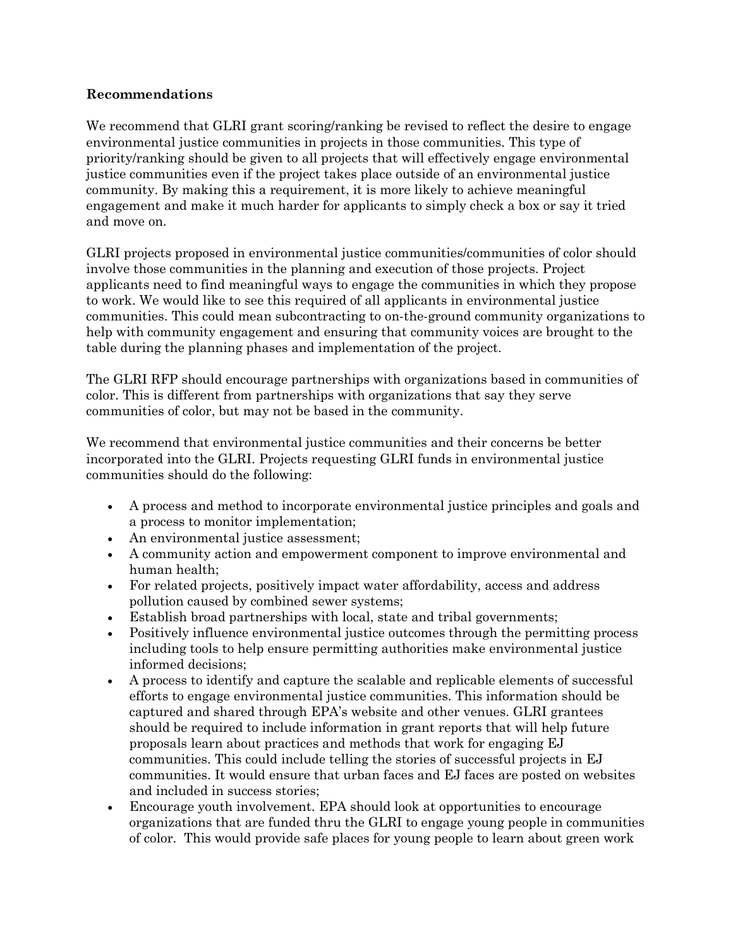#### **Recommendations**

We recommend that GLRI grant scoring/ranking be revised to reflect the desire to engage environmental justice communities in projects in those communities. This type of priority/ranking should be given to all projects that will effectively engage environmental justice communities even if the project takes place outside of an environmental justice community. By making this a requirement, it is more likely to achieve meaningful engagement and make it much harder for applicants to simply check a box or say it tried and move on.

GLRI projects proposed in environmental justice communities/communities of color should involve those communities in the planning and execution of those projects. Project applicants need to find meaningful ways to engage the communities in which they propose to work. We would like to see this required of all applicants in environmental justice communities. This could mean subcontracting to on-the-ground community organizations to help with community engagement and ensuring that community voices are brought to the table during the planning phases and implementation of the project.

The GLRI RFP should encourage partnerships with organizations based in communities of color. This is different from partnerships with organizations that say they serve communities of color, but may not be based in the community.

We recommend that environmental justice communities and their concerns be better incorporated into the GLRI. Projects requesting GLRI funds in environmental justice communities should do the following:

- A process and method to incorporate environmental justice principles and goals and a process to monitor implementation;
- An environmental justice assessment;
- A community action and empowerment component to improve environmental and human health;
- For related projects, positively impact water affordability, access and address pollution caused by combined sewer systems;
- Establish broad partnerships with local, state and tribal governments;
- Positively influence environmental justice outcomes through the permitting process including tools to help ensure permitting authorities make environmental justice informed decisions;
- A process to identify and capture the scalable and replicable elements of successful efforts to engage environmental justice communities. This information should be captured and shared through EPA's website and other venues. GLRI grantees should be required to include information in grant reports that will help future proposals learn about practices and methods that work for engaging EJ communities. This could include telling the stories of successful projects in EJ communities. It would ensure that urban faces and EJ faces are posted on websites and included in success stories;
- Encourage youth involvement. EPA should look at opportunities to encourage organizations that are funded thru the GLRI to engage young people in communities of color. This would provide safe places for young people to learn about green work